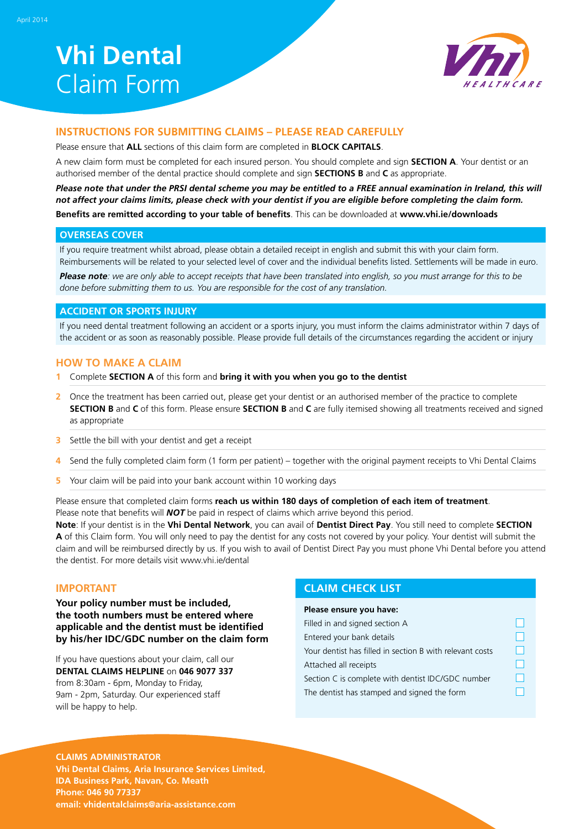# **Vhi Dental**  Claim Form



### **INSTRUCTIONS FOR SUBMITTING CLAIMS – Please read carefully**

Please ensure that **ALL** sections of this claim form are completed in **BLOCK CAPITALS**.

A new claim form must be completed for each insured person. You should complete and sign **Section A**. Your dentist or an authorised member of the dental practice should complete and sign **Sections B** and **C** as appropriate.

*Please note that under the PRSI dental scheme you may be entitled to a FREE annual examination in Ireland, this will not affect your claims limits, please check with your dentist if you are eligible before completing the claim form.* **Benefits are remitted according to your table of benefits**. This can be downloaded at **www.vhi.ie/downloads**

#### **Overseas Cover**

If you require treatment whilst abroad, please obtain a detailed receipt in english and submit this with your claim form. Reimbursements will be related to your selected level of cover and the individual benefits listed. Settlements will be made in euro.

*Please note: we are only able to accept receipts that have been translated into english, so you must arrange for this to be done before submitting them to us. You are responsible for the cost of any translation.*

#### **ACCIDENT OR SPORTS INJURY**

If you need dental treatment following an accident or a sports injury, you must inform the claims administrator within 7 days of the accident or as soon as reasonably possible. Please provide full details of the circumstances regarding the accident or injury

#### **HOW TO MAKE A CLAIM**

- **1** Complete **SECTION A** of this form and **bring it with you when you go to the dentist**
- **2** Once the treatment has been carried out, please get your dentist or an authorised member of the practice to complete **SECTION B** and **C** of this form. Please ensure **SECTION B** and **C** are fully itemised showing all treatments received and signed as appropriate
- **3** Settle the bill with your dentist and get a receipt
- **4** Send the fully completed claim form (1 form per patient) together with the original payment receipts to Vhi Dental Claims
- **5** Your claim will be paid into your bank account within 10 working days

Please ensure that completed claim forms **reach us within 180 days of completion of each item of treatment**. Please note that benefits will *NOT* be paid in respect of claims which arrive beyond this period.

**Note**: If your dentist is in the **Vhi Dental Network**, you can avail of **Dentist Direct Pay**. You still need to complete **SECTION A** of this Claim form. You will only need to pay the dentist for any costs not covered by your policy. Your dentist will submit the claim and will be reimbursed directly by us. If you wish to avail of Dentist Direct Pay you must phone Vhi Dental before you attend the dentist. For more details visit www.vhi.ie/dental

#### **IMPORTANT**

**Your policy number must be included, the tooth numbers must be entered where applicable and the dentist must be identified by his/her IDC/GDC number on the claim form**

If you have questions about your claim, call our **DENTAL CLAIMS HELPLINE** on **046 9077 337** from 8:30am - 6pm, Monday to Friday, 9am - 2pm, Saturday. Our experienced staff will be happy to help.

## **CLAIM CHECK LIST**

| Please ensure you have:                                  |  |
|----------------------------------------------------------|--|
| Filled in and signed section A                           |  |
| Entered your bank details                                |  |
| Your dentist has filled in section B with relevant costs |  |
| Attached all receipts                                    |  |
| Section C is complete with dentist IDC/GDC number        |  |
| The dentist has stamped and signed the form              |  |
|                                                          |  |

#### **CLAIMS ADMINISTRATOR**

**Vhi Dental Claims, Aria Insurance Services Limited, IDA Business Park, Navan, Co. Meath Phone: 046 90 77337 email: vhidentalclaims@aria-assistance.com**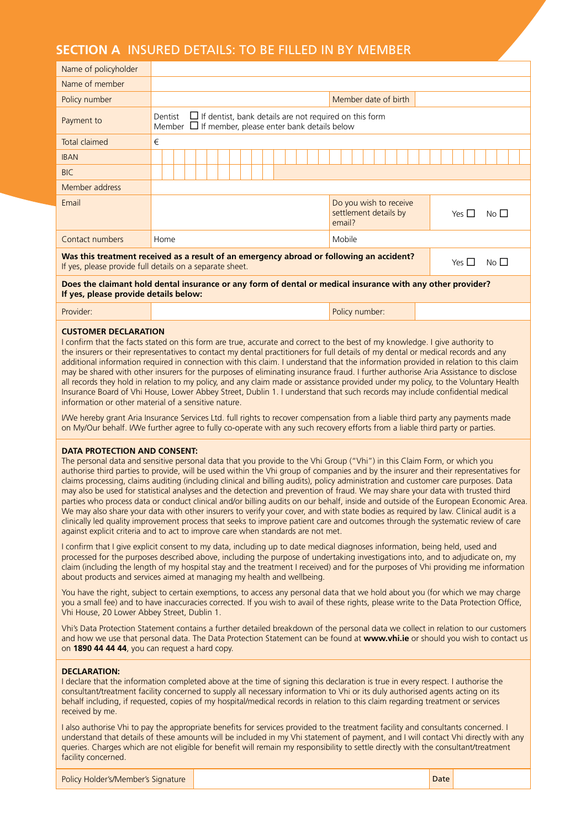# **SECTION A** Insured Details: to be filled in by member

| Name of policyholder                                                                                                                                                                                                                                                                                                                                                                                                                                                                                                                                                          |                                                                                                                                                                                       |                      |  |  |  |
|-------------------------------------------------------------------------------------------------------------------------------------------------------------------------------------------------------------------------------------------------------------------------------------------------------------------------------------------------------------------------------------------------------------------------------------------------------------------------------------------------------------------------------------------------------------------------------|---------------------------------------------------------------------------------------------------------------------------------------------------------------------------------------|----------------------|--|--|--|
| Name of member                                                                                                                                                                                                                                                                                                                                                                                                                                                                                                                                                                |                                                                                                                                                                                       |                      |  |  |  |
| Policy number                                                                                                                                                                                                                                                                                                                                                                                                                                                                                                                                                                 |                                                                                                                                                                                       | Member date of birth |  |  |  |
| Payment to                                                                                                                                                                                                                                                                                                                                                                                                                                                                                                                                                                    | $\Box$ If dentist, bank details are not required on this form<br>Dentist<br>Member $\Box$ If member, please enter bank details below                                                  |                      |  |  |  |
| <b>Total claimed</b>                                                                                                                                                                                                                                                                                                                                                                                                                                                                                                                                                          | €                                                                                                                                                                                     |                      |  |  |  |
| <b>IBAN</b>                                                                                                                                                                                                                                                                                                                                                                                                                                                                                                                                                                   |                                                                                                                                                                                       |                      |  |  |  |
| <b>BIC</b>                                                                                                                                                                                                                                                                                                                                                                                                                                                                                                                                                                    |                                                                                                                                                                                       |                      |  |  |  |
| Member address                                                                                                                                                                                                                                                                                                                                                                                                                                                                                                                                                                |                                                                                                                                                                                       |                      |  |  |  |
| Email                                                                                                                                                                                                                                                                                                                                                                                                                                                                                                                                                                         | Do you wish to receive<br>settlement details by<br>Yes $\Pi$<br>No $\Box$<br>email?                                                                                                   |                      |  |  |  |
| Contact numbers                                                                                                                                                                                                                                                                                                                                                                                                                                                                                                                                                               | Home                                                                                                                                                                                  | Mobile               |  |  |  |
|                                                                                                                                                                                                                                                                                                                                                                                                                                                                                                                                                                               | Was this treatment received as a result of an emergency abroad or following an accident?<br>No <sub>1</sub><br>Yes $\Box$<br>If yes, please provide full details on a separate sheet. |                      |  |  |  |
| Does the claimant hold dental insurance or any form of dental or medical insurance with any other provider?<br>If yes, please provide details below:                                                                                                                                                                                                                                                                                                                                                                                                                          |                                                                                                                                                                                       |                      |  |  |  |
| Provider:                                                                                                                                                                                                                                                                                                                                                                                                                                                                                                                                                                     |                                                                                                                                                                                       | Policy number:       |  |  |  |
| <b>CUSTOMER DECLARATION</b><br>I confirm that the facts stated on this form are true, accurate and correct to the best of my knowledge. I give authority to<br>the insurers or their representatives to contact my dental practitioners for full details of my dental or medical records and any<br>additional information required in connection with this claim. I understand that the information provided in relation to this claim<br>may be shared with other insurers for the purposes of eliminating insurance fraud. I further authorise Aria Assistance to disclose |                                                                                                                                                                                       |                      |  |  |  |

may be shared with other insurers for the purposes of eliminating insurance fraud. I further authorise Aria Assistance to disclose all records they hold in relation to my policy, and any claim made or assistance provided under my policy, to the Voluntary Health Insurance Board of Vhi House, Lower Abbey Street, Dublin 1. I understand that such records may include confidential medical information or other material of a sensitive nature.

I/We hereby grant Aria Insurance Services Ltd. full rights to recover compensation from a liable third party any payments made on My/Our behalf. I/We further agree to fully co-operate with any such recovery efforts from a liable third party or parties.

#### **Data Protection and Consent:**

The personal data and sensitive personal data that you provide to the Vhi Group ("Vhi") in this Claim Form, or which you authorise third parties to provide, will be used within the Vhi group of companies and by the insurer and their representatives for claims processing, claims auditing (including clinical and billing audits), policy administration and customer care purposes. Data may also be used for statistical analyses and the detection and prevention of fraud. We may share your data with trusted third parties who process data or conduct clinical and/or billing audits on our behalf, inside and outside of the European Economic Area. We may also share your data with other insurers to verify your cover, and with state bodies as required by law. Clinical audit is a clinically led quality improvement process that seeks to improve patient care and outcomes through the systematic review of care against explicit criteria and to act to improve care when standards are not met.

I confirm that I give explicit consent to my data, including up to date medical diagnoses information, being held, used and processed for the purposes described above, including the purpose of undertaking investigations into, and to adjudicate on, my claim (including the length of my hospital stay and the treatment I received) and for the purposes of Vhi providing me information about products and services aimed at managing my health and wellbeing.

You have the right, subject to certain exemptions, to access any personal data that we hold about you (for which we may charge you a small fee) and to have inaccuracies corrected. If you wish to avail of these rights, please write to the Data Protection Office, Vhi House, 20 Lower Abbey Street, Dublin 1.

Vhi's Data Protection Statement contains a further detailed breakdown of the personal data we collect in relation to our customers and how we use that personal data. The Data Protection Statement can be found at **www.vhi.ie** or should you wish to contact us on **1890 44 44 44**, you can request a hard copy.

#### **Declaration:**

I declare that the information completed above at the time of signing this declaration is true in every respect. I authorise the consultant/treatment facility concerned to supply all necessary information to Vhi or its duly authorised agents acting on its behalf including, if requested, copies of my hospital/medical records in relation to this claim regarding treatment or services received by me.

I also authorise Vhi to pay the appropriate benefits for services provided to the treatment facility and consultants concerned. I understand that details of these amounts will be included in my Vhi statement of payment, and I will contact Vhi directly with any queries. Charges which are not eligible for benefit will remain my responsibility to settle directly with the consultant/treatment facility concerned.

| Policy Holder's/Member's Signature |  | Date |  |
|------------------------------------|--|------|--|
|------------------------------------|--|------|--|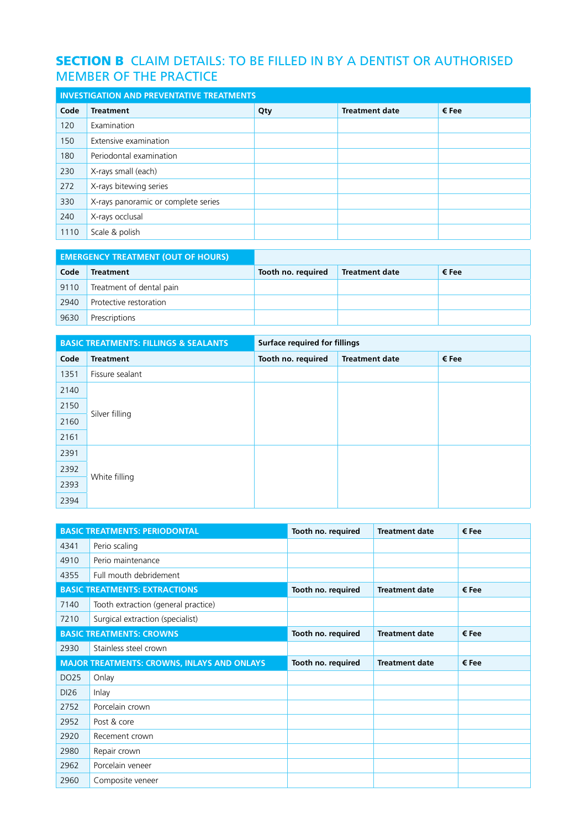# **SECTION B** CLAIM DETAILS: TO BE FILLED IN BY A DENTIST OR AUTHORISED MEMBER OF THE PRACTICE

| <b>INVESTIGATION AND PREVENTATIVE TREATMENTS</b> |                                     |     |                       |       |
|--------------------------------------------------|-------------------------------------|-----|-----------------------|-------|
| Code                                             | <b>Treatment</b>                    | Qty | <b>Treatment date</b> | € Fee |
| 120                                              | Examination                         |     |                       |       |
| 150                                              | Extensive examination               |     |                       |       |
| 180                                              | Periodontal examination             |     |                       |       |
| 230                                              | X-rays small (each)                 |     |                       |       |
| 272                                              | X-rays bitewing series              |     |                       |       |
| 330                                              | X-rays panoramic or complete series |     |                       |       |
| 240                                              | X-rays occlusal                     |     |                       |       |
| 1110                                             | Scale & polish                      |     |                       |       |

|      | <b>EMERGENCY TREATMENT (OUT OF HOURS)</b> |                    |                       |       |
|------|-------------------------------------------|--------------------|-----------------------|-------|
| Code | <b>Treatment</b>                          | Tooth no. required | <b>Treatment date</b> | € Fee |
| 9110 | Treatment of dental pain                  |                    |                       |       |
| 2940 | Protective restoration                    |                    |                       |       |
| 9630 | Prescriptions                             |                    |                       |       |

|      | <b>BASIC TREATMENTS: FILLINGS &amp; SEALANTS</b> | <b>Surface required for fillings</b> |                       |       |
|------|--------------------------------------------------|--------------------------------------|-----------------------|-------|
| Code | <b>Treatment</b>                                 | Tooth no. required                   | <b>Treatment date</b> | € Fee |
| 1351 | Fissure sealant                                  |                                      |                       |       |
| 2140 |                                                  |                                      |                       |       |
| 2150 |                                                  |                                      |                       |       |
| 2160 | Silver filling                                   |                                      |                       |       |
| 2161 |                                                  |                                      |                       |       |
| 2391 |                                                  |                                      |                       |       |
| 2392 |                                                  |                                      |                       |       |
| 2393 | White filling                                    |                                      |                       |       |
| 2394 |                                                  |                                      |                       |       |

|      | <b>BASIC TREATMENTS: PERIODONTAL</b>               | Tooth no. required | <b>Treatment date</b> | € Fee |
|------|----------------------------------------------------|--------------------|-----------------------|-------|
| 4341 | Perio scaling                                      |                    |                       |       |
| 4910 | Perio maintenance                                  |                    |                       |       |
| 4355 | Full mouth debridement                             |                    |                       |       |
|      | <b>BASIC TREATMENTS: EXTRACTIONS</b>               | Tooth no. required | <b>Treatment date</b> | € Fee |
| 7140 | Tooth extraction (general practice)                |                    |                       |       |
| 7210 | Surgical extraction (specialist)                   |                    |                       |       |
|      | <b>BASIC TREATMENTS: CROWNS</b>                    | Tooth no. required | <b>Treatment date</b> | € Fee |
| 2930 | Stainless steel crown                              |                    |                       |       |
|      |                                                    |                    |                       |       |
|      | <b>MAJOR TREATMENTS: CROWNS, INLAYS AND ONLAYS</b> | Tooth no. required | <b>Treatment date</b> | € Fee |
| DO25 | Onlay                                              |                    |                       |       |
| DI26 | Inlay                                              |                    |                       |       |
| 2752 | Porcelain crown                                    |                    |                       |       |
| 2952 | Post & core                                        |                    |                       |       |
| 2920 | Recement crown                                     |                    |                       |       |
| 2980 | Repair crown                                       |                    |                       |       |
| 2962 | Porcelain veneer                                   |                    |                       |       |